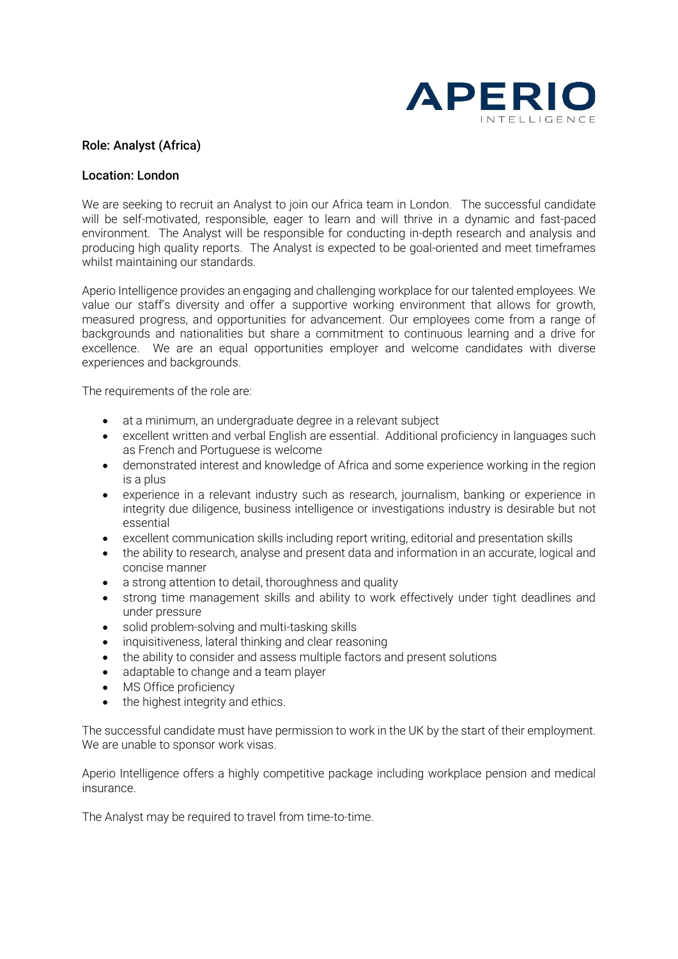

## Role: Analyst (Africa)

## Location: London

We are seeking to recruit an Analyst to join our Africa team in London. The successful candidate will be self-motivated, responsible, eager to learn and will thrive in a dynamic and fast-paced environment. The Analyst will be responsible for conducting in-depth research and analysis and producing high quality reports. The Analyst is expected to be goal-oriented and meet timeframes whilst maintaining our standards.

Aperio Intelligence provides an engaging and challenging workplace for our talented employees. We value our staff's diversity and offer a supportive working environment that allows for growth, measured progress, and opportunities for advancement. Our employees come from a range of backgrounds and nationalities but share a commitment to continuous learning and a drive for excellence. We are an equal opportunities employer and welcome candidates with diverse experiences and backgrounds.

The requirements of the role are:

- at a minimum, an undergraduate degree in a relevant subject
- excellent written and verbal English are essential. Additional proficiency in languages such as French and Portuguese is welcome
- demonstrated interest and knowledge of Africa and some experience working in the region is a plus
- experience in a relevant industry such as research, journalism, banking or experience in integrity due diligence, business intelligence or investigations industry is desirable but not essential
- excellent communication skills including report writing, editorial and presentation skills
- the ability to research, analyse and present data and information in an accurate, logical and concise manner
- a strong attention to detail, thoroughness and quality
- strong time management skills and ability to work effectively under tight deadlines and under pressure
- solid problem-solving and multi-tasking skills
- inquisitiveness, lateral thinking and clear reasoning
- the ability to consider and assess multiple factors and present solutions
- adaptable to change and a team player
- MS Office proficiency
- the highest integrity and ethics.

The successful candidate must have permission to work in the UK by the start of their employment. We are unable to sponsor work visas.

Aperio Intelligence offers a highly competitive package including workplace pension and medical insurance.

The Analyst may be required to travel from time-to-time.